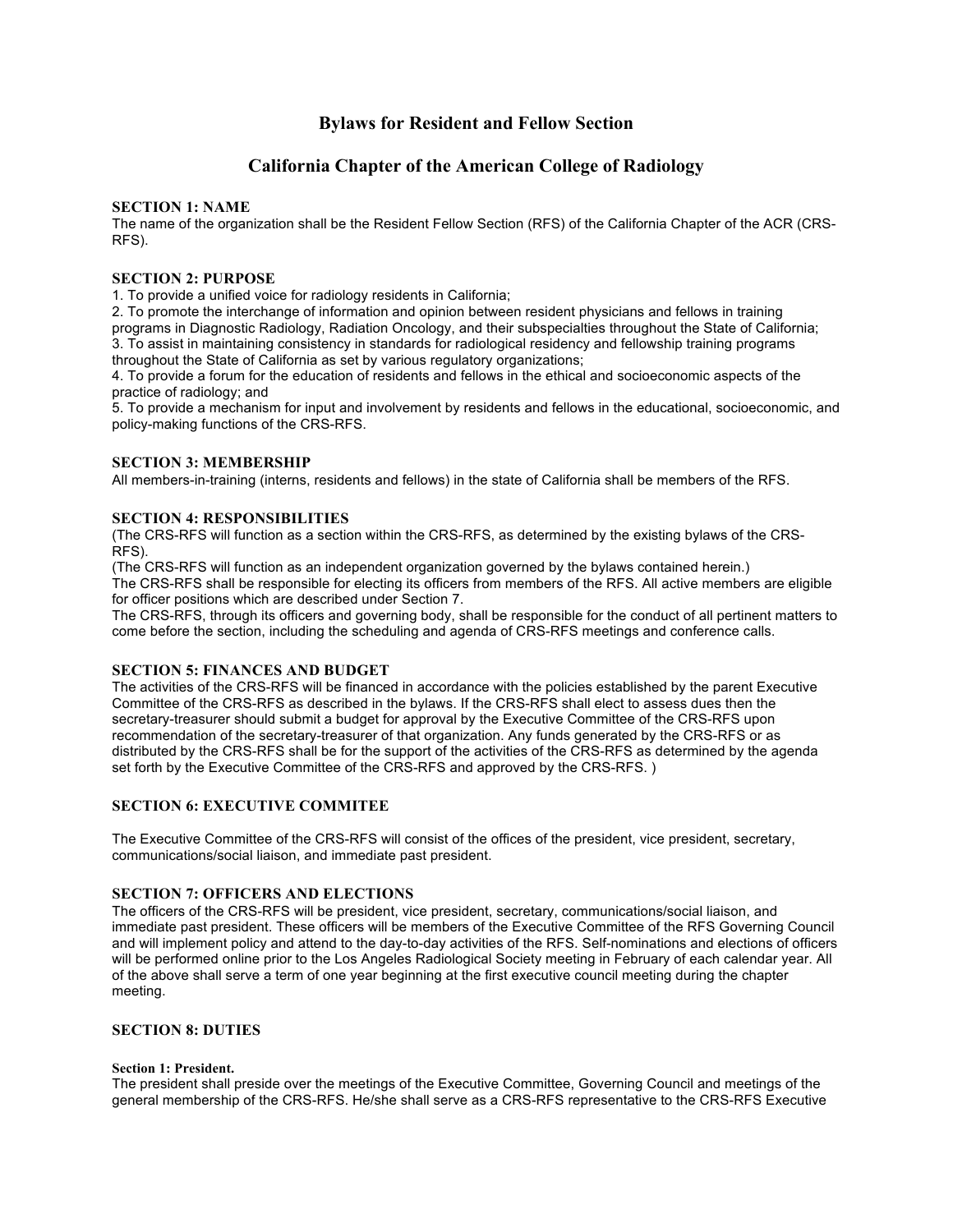## **Bylaws for Resident and Fellow Section**

# **California Chapter of the American College of Radiology**

## **SECTION 1: NAME**

The name of the organization shall be the Resident Fellow Section (RFS) of the California Chapter of the ACR (CRS-RFS).

## **SECTION 2: PURPOSE**

1. To provide a unified voice for radiology residents in California;

2. To promote the interchange of information and opinion between resident physicians and fellows in training programs in Diagnostic Radiology, Radiation Oncology, and their subspecialties throughout the State of California; 3. To assist in maintaining consistency in standards for radiological residency and fellowship training programs throughout the State of California as set by various regulatory organizations;

4. To provide a forum for the education of residents and fellows in the ethical and socioeconomic aspects of the practice of radiology; and

5. To provide a mechanism for input and involvement by residents and fellows in the educational, socioeconomic, and policy-making functions of the CRS-RFS.

## **SECTION 3: MEMBERSHIP**

All members-in-training (interns, residents and fellows) in the state of California shall be members of the RFS.

## **SECTION 4: RESPONSIBILITIES**

(The CRS-RFS will function as a section within the CRS-RFS, as determined by the existing bylaws of the CRS-RFS).

(The CRS-RFS will function as an independent organization governed by the bylaws contained herein.) The CRS-RFS shall be responsible for electing its officers from members of the RFS. All active members are eligible for officer positions which are described under Section 7.

The CRS-RFS, through its officers and governing body, shall be responsible for the conduct of all pertinent matters to come before the section, including the scheduling and agenda of CRS-RFS meetings and conference calls.

## **SECTION 5: FINANCES AND BUDGET**

The activities of the CRS-RFS will be financed in accordance with the policies established by the parent Executive Committee of the CRS-RFS as described in the bylaws. If the CRS-RFS shall elect to assess dues then the secretary-treasurer should submit a budget for approval by the Executive Committee of the CRS-RFS upon recommendation of the secretary-treasurer of that organization. Any funds generated by the CRS-RFS or as distributed by the CRS-RFS shall be for the support of the activities of the CRS-RFS as determined by the agenda set forth by the Executive Committee of the CRS-RFS and approved by the CRS-RFS. )

## **SECTION 6: EXECUTIVE COMMITEE**

The Executive Committee of the CRS-RFS will consist of the offices of the president, vice president, secretary, communications/social liaison, and immediate past president.

## **SECTION 7: OFFICERS AND ELECTIONS**

The officers of the CRS-RFS will be president, vice president, secretary, communications/social liaison, and immediate past president. These officers will be members of the Executive Committee of the RFS Governing Council and will implement policy and attend to the day-to-day activities of the RFS. Self-nominations and elections of officers will be performed online prior to the Los Angeles Radiological Society meeting in February of each calendar year. All of the above shall serve a term of one year beginning at the first executive council meeting during the chapter meeting.

## **SECTION 8: DUTIES**

#### **Section 1: President.**

The president shall preside over the meetings of the Executive Committee, Governing Council and meetings of the general membership of the CRS-RFS. He/she shall serve as a CRS-RFS representative to the CRS-RFS Executive